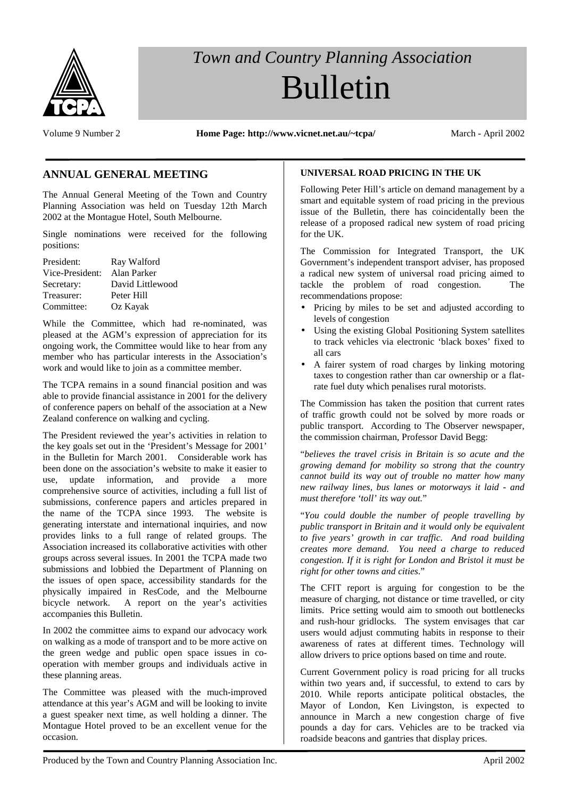

# *Town and Country Planning Association* Bulletin

Volume 9 Number 2 **Home Page: http://www.vicnet.net.au/~tcpa/** March - April 2002

# **ANNUAL GENERAL MEETING**

The Annual General Meeting of the Town and Country Planning Association was held on Tuesday 12th March 2002 at the Montague Hotel, South Melbourne.

Single nominations were received for the following positions:

| President:      | Ray Walford      |
|-----------------|------------------|
| Vice-President: | Alan Parker      |
| Secretary:      | David Littlewood |
| Treasurer:      | Peter Hill       |
| Committee:      | Oz Kayak         |

While the Committee, which had re-nominated, was pleased at the AGM's expression of appreciation for its ongoing work, the Committee would like to hear from any member who has particular interests in the Association's work and would like to join as a committee member.

The TCPA remains in a sound financial position and was able to provide financial assistance in 2001 for the delivery of conference papers on behalf of the association at a New Zealand conference on walking and cycling.

The President reviewed the year's activities in relation to the key goals set out in the 'President's Message for 2001' in the Bulletin for March 2001. Considerable work has been done on the association's website to make it easier to use, update information, and provide a more comprehensive source of activities, including a full list of submissions, conference papers and articles prepared in the name of the TCPA since 1993. The website is generating interstate and international inquiries, and now provides links to a full range of related groups. The Association increased its collaborative activities with other groups across several issues. In 2001 the TCPA made two submissions and lobbied the Department of Planning on the issues of open space, accessibility standards for the physically impaired in ResCode, and the Melbourne bicycle network. A report on the year's activities accompanies this Bulletin.

In 2002 the committee aims to expand our advocacy work on walking as a mode of transport and to be more active on the green wedge and public open space issues in cooperation with member groups and individuals active in these planning areas.

The Committee was pleased with the much-improved attendance at this year's AGM and will be looking to invite a guest speaker next time, as well holding a dinner. The Montague Hotel proved to be an excellent venue for the occasion.

# **UNIVERSAL ROAD PRICING IN THE UK**

Following Peter Hill's article on demand management by a smart and equitable system of road pricing in the previous issue of the Bulletin, there has coincidentally been the release of a proposed radical new system of road pricing for the UK.

The Commission for Integrated Transport, the UK Government's independent transport adviser, has proposed a radical new system of universal road pricing aimed to tackle the problem of road congestion. The recommendations propose:

- Pricing by miles to be set and adjusted according to levels of congestion
- Using the existing Global Positioning System satellites to track vehicles via electronic 'black boxes' fixed to all cars
- A fairer system of road charges by linking motoring taxes to congestion rather than car ownership or a flatrate fuel duty which penalises rural motorists.

The Commission has taken the position that current rates of traffic growth could not be solved by more roads or public transport. According to The Observer newspaper, the commission chairman, Professor David Begg:

"*believes the travel crisis in Britain is so acute and the growing demand for mobility so strong that the country cannot build its way out of trouble no matter how many new railway lines, bus lanes or motorways it laid - and must therefore 'toll' its way out.*"

"*You could double the number of people travelling by public transport in Britain and it would only be equivalent to five years' growth in car traffic. And road building creates more demand. You need a charge to reduced congestion. If it is right for London and Bristol it must be right for other towns and cities*."

The CFIT report is arguing for congestion to be the measure of charging, not distance or time travelled, or city limits. Price setting would aim to smooth out bottlenecks and rush-hour gridlocks. The system envisages that car users would adjust commuting habits in response to their awareness of rates at different times. Technology will allow drivers to price options based on time and route.

Current Government policy is road pricing for all trucks within two years and, if successful, to extend to cars by 2010. While reports anticipate political obstacles, the Mayor of London, Ken Livingston, is expected to announce in March a new congestion charge of five pounds a day for cars. Vehicles are to be tracked via roadside beacons and gantries that display prices.